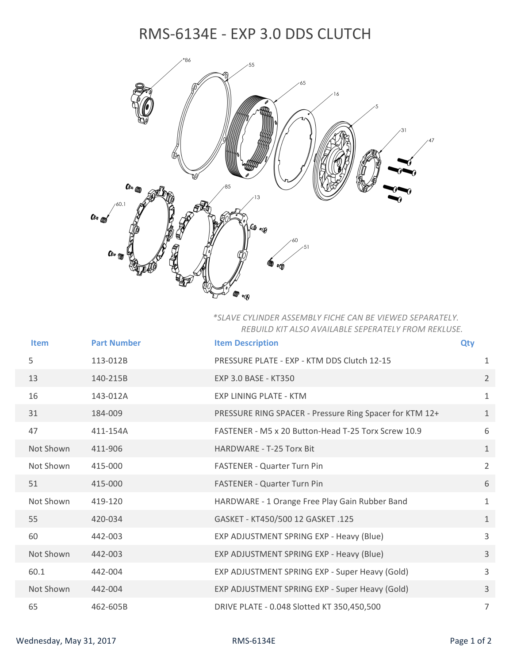## RMS‐6134E ‐ EXP 3.0 DDS CLUTCH



*\*SLAVE CYLINDER ASSEMBLY FICHE CAN BE VIEWED SEPARATELY. REBUILD KIT ALSO AVAILABLE SEPERATELY FROM REKLUSE.*

| <b>Item</b> | <b>Part Number</b> | <b>Item Description</b>                                 | <b>Qty</b> |                |
|-------------|--------------------|---------------------------------------------------------|------------|----------------|
| 5           | 113-012B           | PRESSURE PLATE - EXP - KTM DDS Clutch 12-15             |            | $\mathbf{1}$   |
| 13          | 140-215B           | EXP 3.0 BASE - KT350                                    |            | $\overline{2}$ |
| 16          | 143-012A           | <b>EXP LINING PLATE - KTM</b>                           |            | $\mathbf{1}$   |
| 31          | 184-009            | PRESSURE RING SPACER - Pressure Ring Spacer for KTM 12+ |            | $\mathbf{1}$   |
| 47          | 411-154A           | FASTENER - M5 x 20 Button-Head T-25 Torx Screw 10.9     |            | 6              |
| Not Shown   | 411-906            | HARDWARE - T-25 Torx Bit                                |            | $\mathbf{1}$   |
| Not Shown   | 415-000            | <b>FASTENER - Quarter Turn Pin</b>                      |            | $\overline{2}$ |
| 51          | 415-000            | <b>FASTENER - Quarter Turn Pin</b>                      |            | 6              |
| Not Shown   | 419-120            | HARDWARE - 1 Orange Free Play Gain Rubber Band          |            | $\mathbf{1}$   |
| 55          | 420-034            | GASKET - KT450/500 12 GASKET .125                       |            | $\mathbf{1}$   |
| 60          | 442-003            | EXP ADJUSTMENT SPRING EXP - Heavy (Blue)                |            | $\overline{3}$ |
| Not Shown   | 442-003            | EXP ADJUSTMENT SPRING EXP - Heavy (Blue)                |            | 3              |
| 60.1        | 442-004            | EXP ADJUSTMENT SPRING EXP - Super Heavy (Gold)          |            | 3              |
| Not Shown   | 442-004            | EXP ADJUSTMENT SPRING EXP - Super Heavy (Gold)          |            | 3              |
| 65          | 462-605B           | DRIVE PLATE - 0.048 Slotted KT 350,450,500              |            | $\overline{7}$ |